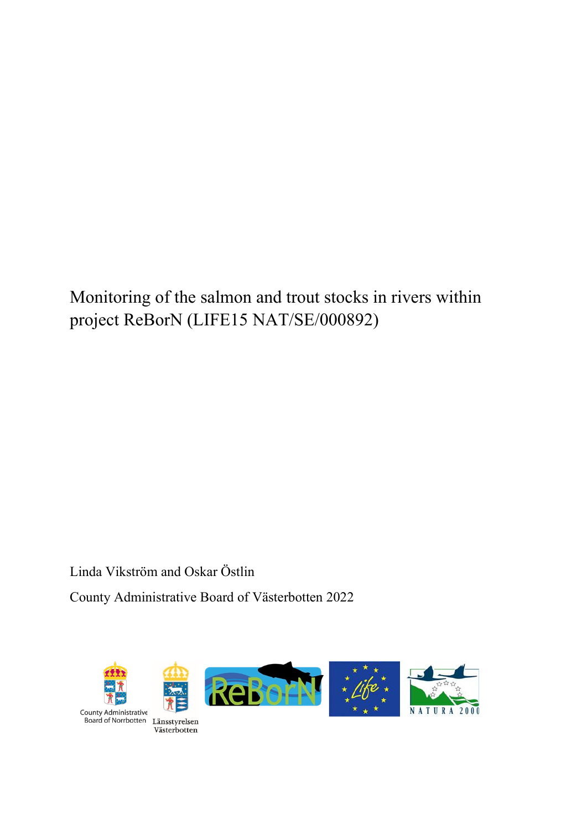Monitoring of the salmon and trout stocks in rivers within project ReBorN (LIFE15 NAT/SE/000892)

Linda Vikström and Oskar Östlin County Administrative Board of Västerbotten 2022

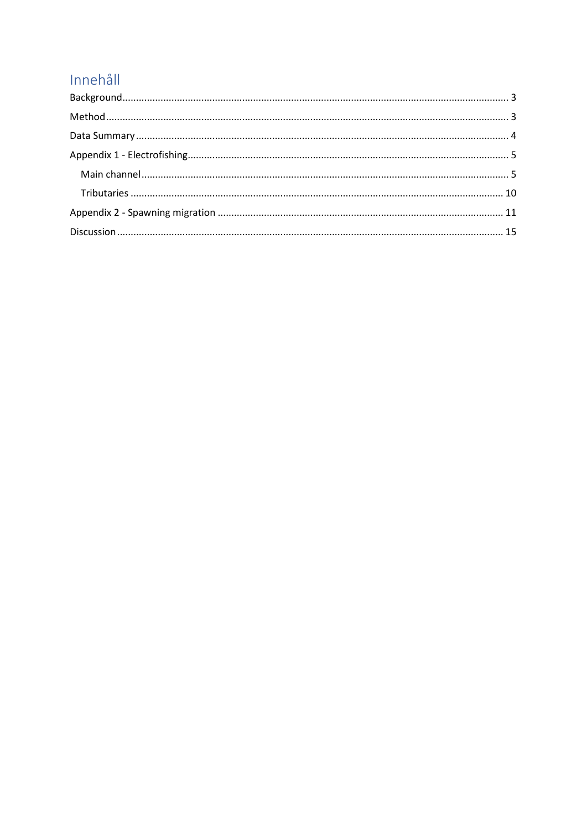# Innehåll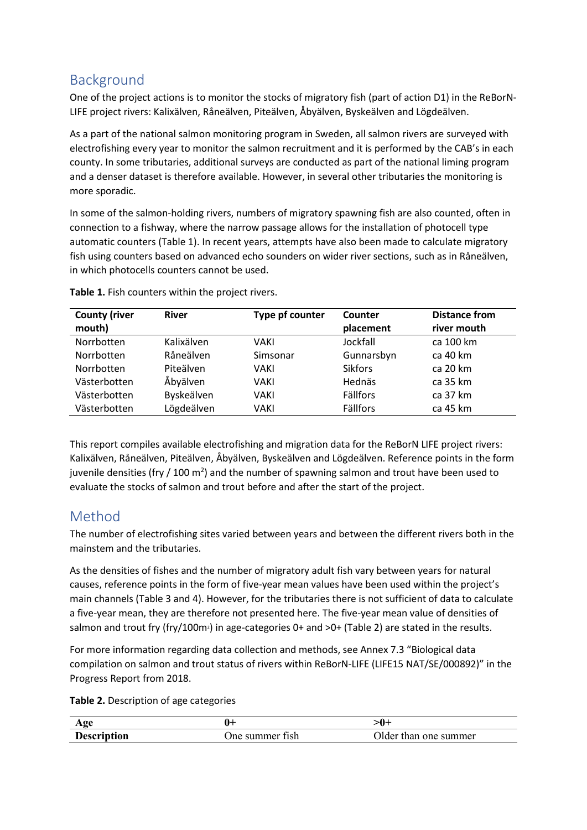## <span id="page-2-0"></span>Background

One of the project actions is to monitor the stocks of migratory fish (part of action D1) in the ReBorN-LIFE project rivers: Kalixälven, Råneälven, Piteälven, Åbyälven, Byskeälven and Lögdeälven.

As a part of the national salmon monitoring program in Sweden, all salmon rivers are surveyed with electrofishing every year to monitor the salmon recruitment and it is performed by the CAB's in each county. In some tributaries, additional surveys are conducted as part of the national liming program and a denser dataset is therefore available. However, in several other tributaries the monitoring is more sporadic.

In some of the salmon-holding rivers, numbers of migratory spawning fish are also counted, often in connection to a fishway, where the narrow passage allows for the installation of photocell type automatic counters (Table 1). In recent years, attempts have also been made to calculate migratory fish using counters based on advanced echo sounders on wider river sections, such as in Råneälven, in which photocells counters cannot be used.

| <b>County (river</b><br>mouth) | <b>River</b> | Type pf counter | Counter<br>placement | <b>Distance from</b><br>river mouth |
|--------------------------------|--------------|-----------------|----------------------|-------------------------------------|
| Norrbotten                     | Kalixälven   | VAKI            | Jockfall             | ca 100 km                           |
| Norrbotten                     | Råneälven    | Simsonar        | Gunnarsbyn           | ca 40 km                            |
| Norrbotten                     | Piteälven    | VAKI            | <b>Sikfors</b>       | ca 20 km                            |
| Västerbotten                   | Åbyälven     | VAKI            | Hednäs               | ca 35 km                            |
| Västerbotten                   | Byskeälven   | VAKI            | Fällfors             | ca 37 km                            |
| Västerbotten                   | Lögdeälven   | VAKI            | Fällfors             | ca 45 km                            |

**Table 1.** Fish counters within the project rivers.

This report compiles available electrofishing and migration data for the ReBorN LIFE project rivers: Kalixälven, Råneälven, Piteälven, Åbyälven, Byskeälven and Lögdeälven. Reference points in the form juvenile densities (fry / 100 m<sup>2</sup>) and the number of spawning salmon and trout have been used to evaluate the stocks of salmon and trout before and after the start of the project.

## <span id="page-2-1"></span>Method

The number of electrofishing sites varied between years and between the different rivers both in the mainstem and the tributaries.

As the densities of fishes and the number of migratory adult fish vary between years for natural causes, reference points in the form of five-year mean values have been used within the project's main channels (Table 3 and 4). However, for the tributaries there is not sufficient of data to calculate a five-year mean, they are therefore not presented here. The five-year mean value of densities of salmon and trout fry (fry/100m<sup>2</sup>) in age-categories 0+ and  $>0+$  (Table 2) are stated in the results.

For more information regarding data collection and methods, see Annex 7.3 "Biological data compilation on salmon and trout status of rivers within ReBorN-LIFE (LIFE15 NAT/SE/000892)" in the Progress Report from 2018.

**Table 2.** Description of age categories

| $\alpha$<br><b><i>INE</i></b> |            | v               |
|-------------------------------|------------|-----------------|
| tıon                          | Ine summer | )lder           |
| P                             | 11sh       | than one summer |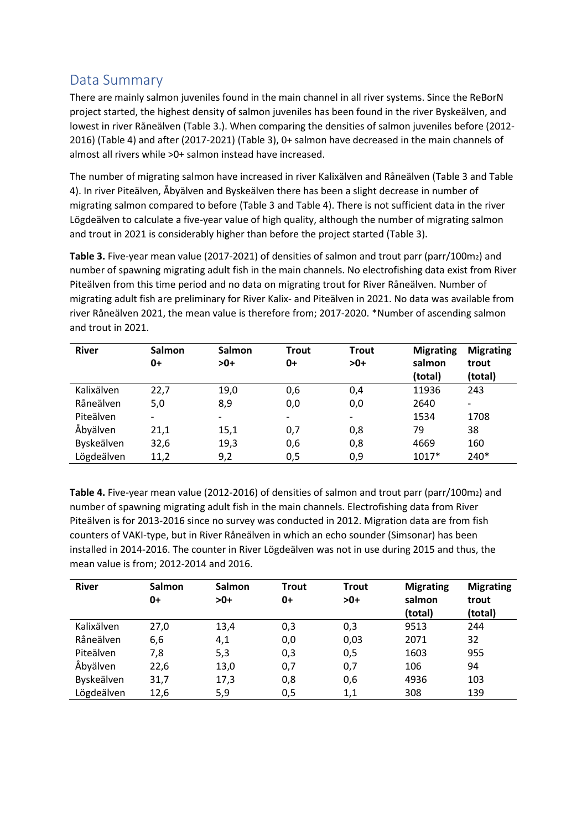## <span id="page-3-0"></span>Data Summary

There are mainly salmon juveniles found in the main channel in all river systems. Since the ReBorN project started, the highest density of salmon juveniles has been found in the river Byskeälven, and lowest in river Råneälven (Table 3.). When comparing the densities of salmon juveniles before (2012- 2016) (Table 4) and after (2017-2021) (Table 3), 0+ salmon have decreased in the main channels of almost all rivers while >0+ salmon instead have increased.

The number of migrating salmon have increased in river Kalixälven and Råneälven (Table 3 and Table 4). In river Piteälven, Åbyälven and Byskeälven there has been a slight decrease in number of migrating salmon compared to before (Table 3 and Table 4). There is not sufficient data in the river Lögdeälven to calculate a five-year value of high quality, although the number of migrating salmon and trout in 2021 is considerably higher than before the project started (Table 3).

Table 3. Five-year mean value (2017-2021) of densities of salmon and trout parr (parr/100m<sub>2</sub>) and number of spawning migrating adult fish in the main channels. No electrofishing data exist from River Piteälven from this time period and no data on migrating trout for River Råneälven. Number of migrating adult fish are preliminary for River Kalix- and Piteälven in 2021. No data was available from river Råneälven 2021, the mean value is therefore from; 2017-2020. \*Number of ascending salmon and trout in 2021.

| <b>River</b> | Salmon<br>0+             | Salmon<br>$>0+$          | <b>Trout</b><br>0+ | <b>Trout</b><br>$>0+$ | <b>Migrating</b><br>salmon<br>(total) | <b>Migrating</b><br>trout<br>(total) |
|--------------|--------------------------|--------------------------|--------------------|-----------------------|---------------------------------------|--------------------------------------|
| Kalixälven   | 22,7                     | 19,0                     | 0,6                | 0,4                   | 11936                                 | 243                                  |
| Råneälven    | 5,0                      | 8,9                      | 0,0                | 0,0                   | 2640                                  | -                                    |
| Piteälven    | $\overline{\phantom{a}}$ | $\overline{\phantom{0}}$ | -                  | -                     | 1534                                  | 1708                                 |
| Åbyälven     | 21,1                     | 15,1                     | 0,7                | 0,8                   | 79                                    | 38                                   |
| Byskeälven   | 32,6                     | 19,3                     | 0,6                | 0,8                   | 4669                                  | 160                                  |
| Lögdeälven   | 11,2                     | 9,2                      | 0,5                | 0,9                   | $1017*$                               | 240*                                 |

Table 4. Five-year mean value (2012-2016) of densities of salmon and trout parr (parr/100m<sub>2</sub>) and number of spawning migrating adult fish in the main channels. Electrofishing data from River Piteälven is for 2013-2016 since no survey was conducted in 2012. Migration data are from fish counters of VAKI-type, but in River Råneälven in which an echo sounder (Simsonar) has been installed in 2014-2016. The counter in River Lögdeälven was not in use during 2015 and thus, the mean value is from; 2012-2014 and 2016.

| <b>River</b> | Salmon<br>0+ | Salmon<br>$>0+$ | <b>Trout</b><br>0+ | <b>Trout</b><br>$>0+$ | <b>Migrating</b><br>salmon<br>(total) | <b>Migrating</b><br>trout<br>(total) |
|--------------|--------------|-----------------|--------------------|-----------------------|---------------------------------------|--------------------------------------|
| Kalixälven   | 27,0         | 13,4            | 0,3                | 0,3                   | 9513                                  | 244                                  |
| Råneälven    | 6,6          | 4,1             | 0,0                | 0,03                  | 2071                                  | 32                                   |
| Piteälven    | 7,8          | 5,3             | 0,3                | 0,5                   | 1603                                  | 955                                  |
| Åbyälven     | 22,6         | 13,0            | 0,7                | 0,7                   | 106                                   | 94                                   |
| Byskeälven   | 31,7         | 17,3            | 0,8                | 0,6                   | 4936                                  | 103                                  |
| Lögdeälven   | 12,6         | 5,9             | 0,5                | 1,1                   | 308                                   | 139                                  |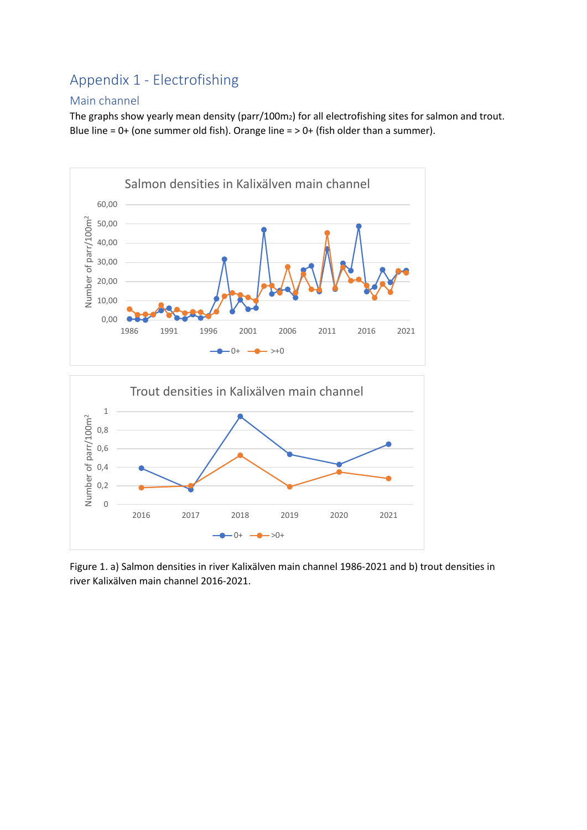## <span id="page-4-0"></span>Appendix 1 - Electrofishing

#### <span id="page-4-1"></span>Main channel

The graphs show yearly mean density (parr/100m2) for all electrofishing sites for salmon and trout. Blue line =  $0+$  (one summer old fish). Orange line =  $> 0+$  (fish older than a summer).





Figure 1. a) Salmon densities in river Kalixälven main channel 1986-2021 and b) trout densities in river Kalixälven main channel 2016-2021.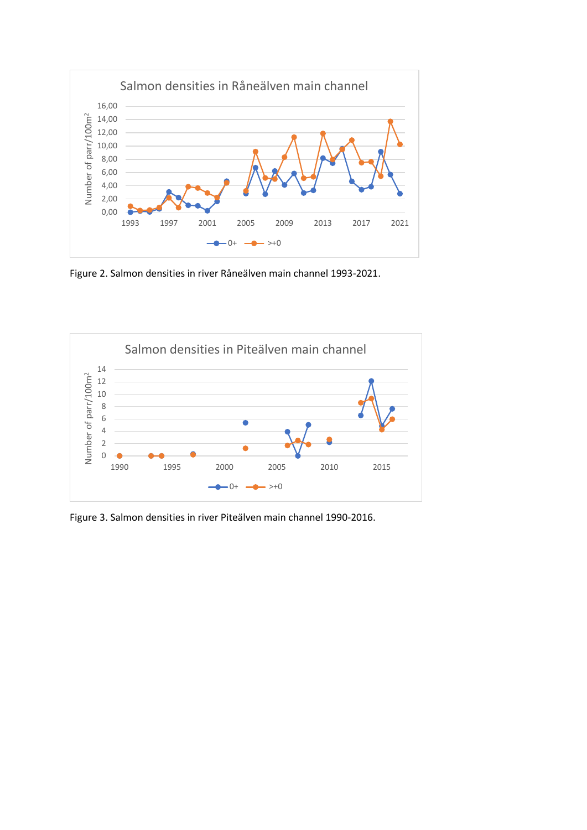

Figure 2. Salmon densities in river Råneälven main channel 1993-2021.



Figure 3. Salmon densities in river Piteälven main channel 1990-2016.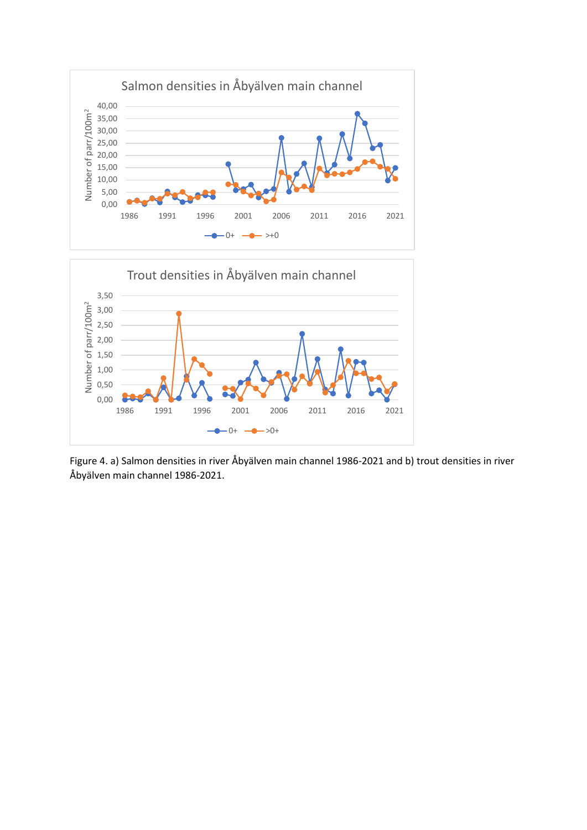



Figure 4. a) Salmon densities in river Åbyälven main channel 1986-2021 and b) trout densities in river Åbyälven main channel 1986-2021.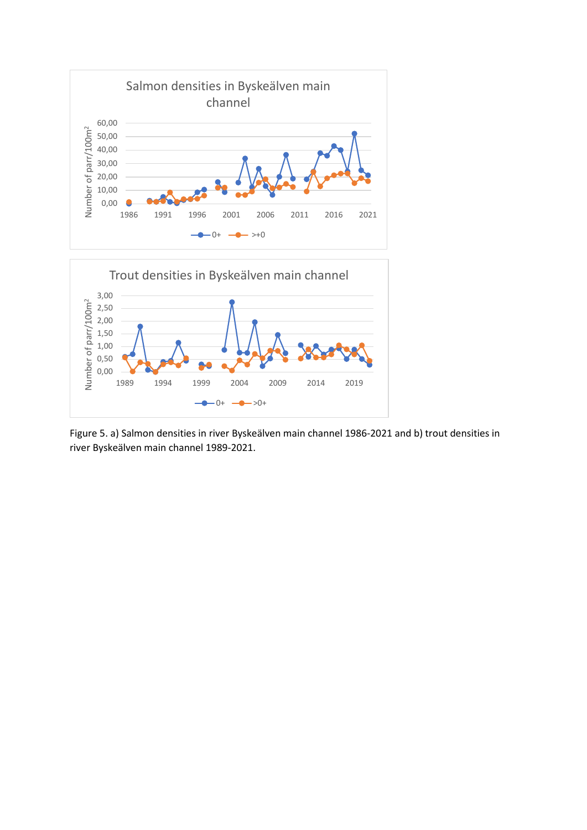

Figure 5. a) Salmon densities in river Byskeälven main channel 1986-2021 and b) trout densities in river Byskeälven main channel 1989-2021.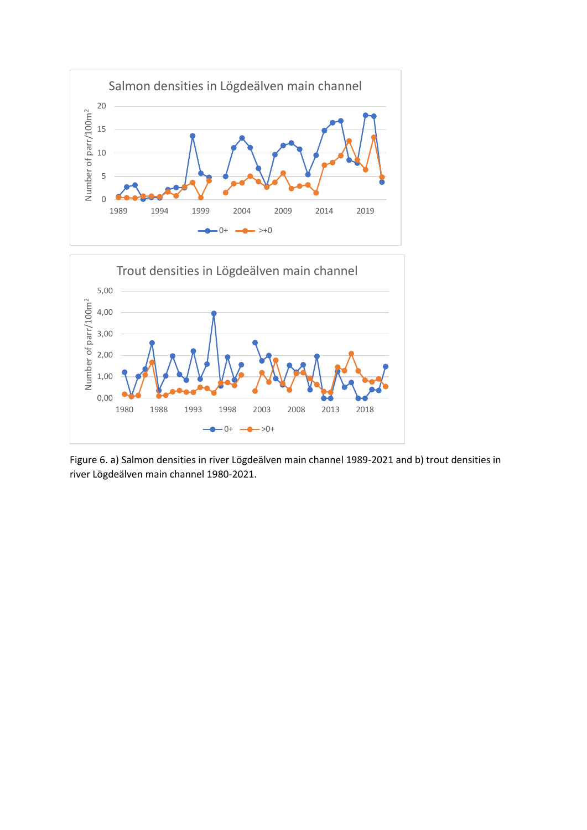

Figure 6. a) Salmon densities in river Lögdeälven main channel 1989-2021 and b) trout densities in river Lögdeälven main channel 1980-2021.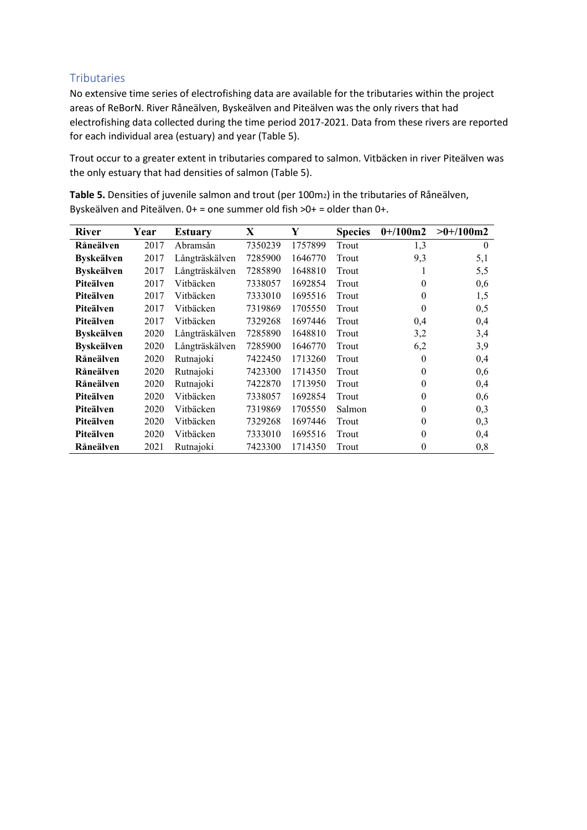### <span id="page-9-0"></span>**Tributaries**

No extensive time series of electrofishing data are available for the tributaries within the project areas of ReBorN. River Råneälven, Byskeälven and Piteälven was the only rivers that had electrofishing data collected during the time period 2017-2021. Data from these rivers are reported for each individual area (estuary) and year (Table 5).

Trout occur to a greater extent in tributaries compared to salmon. Vitbäcken in river Piteälven was the only estuary that had densities of salmon (Table 5).

| <b>River</b>      | Year | <b>Estuary</b> | X       | Y       | <b>Species</b> | $0+100m2$ | $>0+/100m2$ |
|-------------------|------|----------------|---------|---------|----------------|-----------|-------------|
| Råneälven         | 2017 | Abramsån       | 7350239 | 1757899 | Trout          | 1,3       | $\theta$    |
| <b>Byskeälven</b> | 2017 | Långträskälven | 7285900 | 1646770 | Trout          | 9,3       | 5,1         |
| <b>Byskeälven</b> | 2017 | Långträskälven | 7285890 | 1648810 | Trout          | 1         | 5,5         |
| Piteälven         | 2017 | Vitbäcken      | 7338057 | 1692854 | Trout          | $\theta$  | 0,6         |
| Piteälven         | 2017 | Vitbäcken      | 7333010 | 1695516 | Trout          | $\theta$  | 1,5         |
| Piteälven         | 2017 | Vitbäcken      | 7319869 | 1705550 | Trout          | $\theta$  | 0,5         |
| Piteälven         | 2017 | Vitbäcken      | 7329268 | 1697446 | Trout          | 0,4       | 0,4         |
| <b>Byskeälven</b> | 2020 | Långträskälven | 7285890 | 1648810 | Trout          | 3,2       | 3,4         |
| <b>Byskeälven</b> | 2020 | Långträskälven | 7285900 | 1646770 | Trout          | 6,2       | 3,9         |
| Råneälven         | 2020 | Rutnajoki      | 7422450 | 1713260 | Trout          | $\theta$  | 0,4         |
| Råneälven         | 2020 | Rutnajoki      | 7423300 | 1714350 | Trout          | $\theta$  | 0,6         |
| Råneälven         | 2020 | Rutnajoki      | 7422870 | 1713950 | Trout          | $\theta$  | 0,4         |
| Piteälven         | 2020 | Vitbäcken      | 7338057 | 1692854 | Trout          | $\theta$  | 0,6         |
| Piteälven         | 2020 | Vitbäcken      | 7319869 | 1705550 | Salmon         | $\theta$  | 0,3         |
| Piteälven         | 2020 | Vitbäcken      | 7329268 | 1697446 | Trout          | $\theta$  | 0,3         |
| Piteälven         | 2020 | Vitbäcken      | 7333010 | 1695516 | Trout          | $\theta$  | 0,4         |
| Råneälven         | 2021 | Rutnajoki      | 7423300 | 1714350 | Trout          | $\theta$  | 0,8         |

Table 5. Densities of juvenile salmon and trout (per 100m<sub>2</sub>) in the tributaries of Råneälven, Byskeälven and Piteälven. 0+ = one summer old fish >0+ = older than 0+.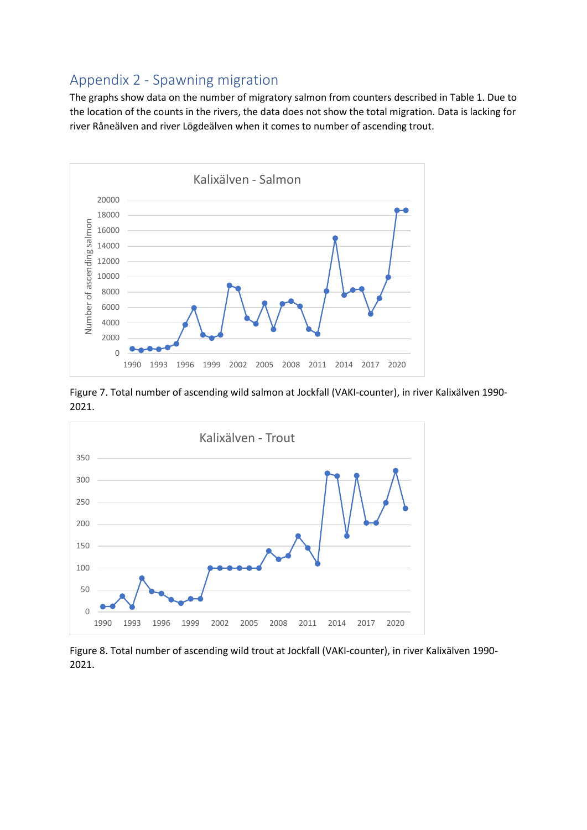### <span id="page-10-0"></span>Appendix 2 - Spawning migration

The graphs show data on the number of migratory salmon from counters described in Table 1. Due to the location of the counts in the rivers, the data does not show the total migration. Data is lacking for river Råneälven and river Lögdeälven when it comes to number of ascending trout.



Figure 7. Total number of ascending wild salmon at Jockfall (VAKI-counter), in river Kalixälven 1990- 2021.



Figure 8. Total number of ascending wild trout at Jockfall (VAKI-counter), in river Kalixälven 1990- 2021.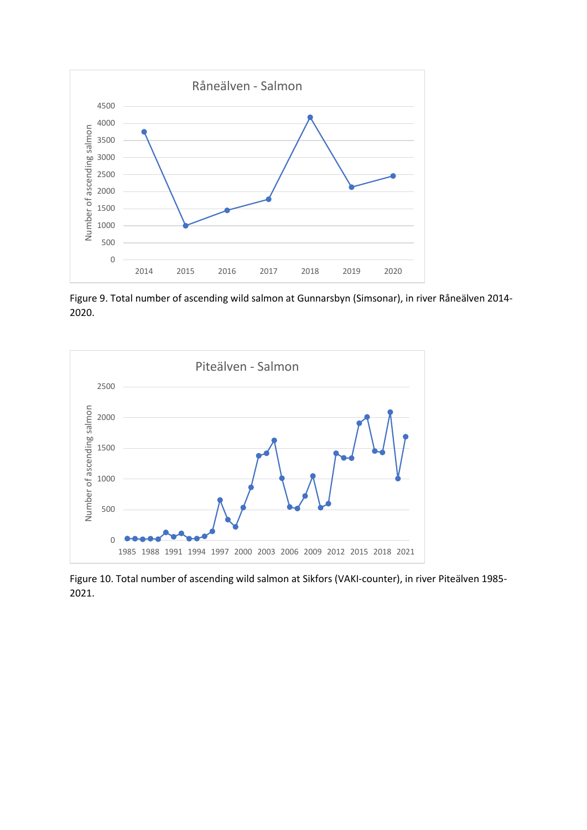

Figure 9. Total number of ascending wild salmon at Gunnarsbyn (Simsonar), in river Råneälven 2014- 2020.



Figure 10. Total number of ascending wild salmon at Sikfors (VAKI-counter), in river Piteälven 1985- 2021.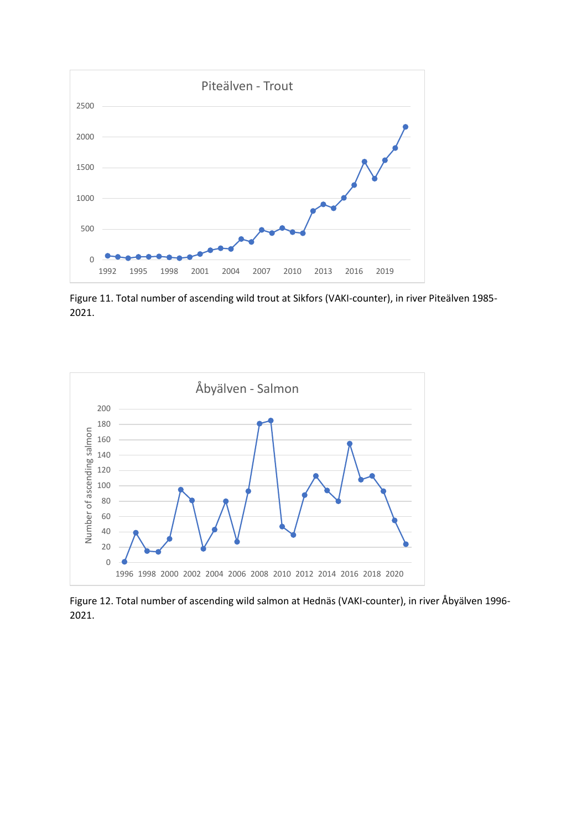

Figure 11. Total number of ascending wild trout at Sikfors (VAKI-counter), in river Piteälven 1985- 2021.



Figure 12. Total number of ascending wild salmon at Hednäs (VAKI-counter), in river Åbyälven 1996- 2021.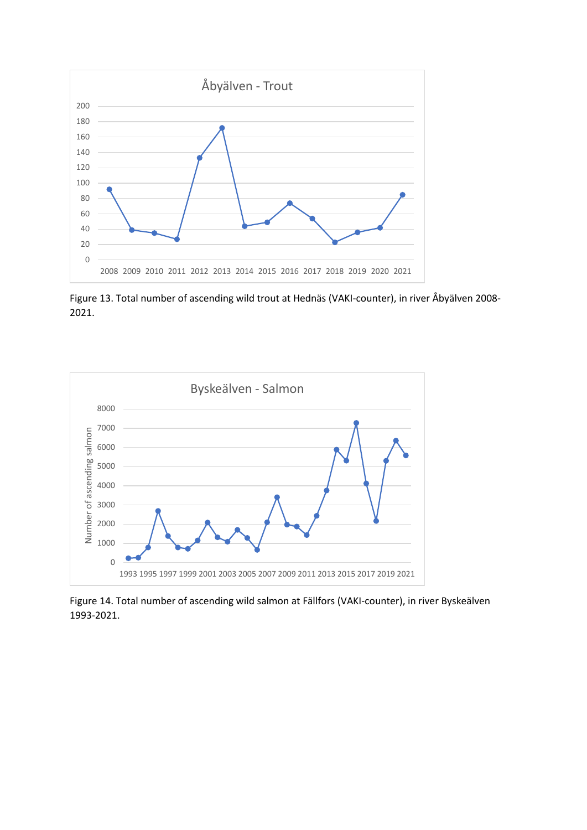

Figure 13. Total number of ascending wild trout at Hednäs (VAKI-counter), in river Åbyälven 2008- 2021.



Figure 14. Total number of ascending wild salmon at Fällfors (VAKI-counter), in river Byskeälven 1993-2021.